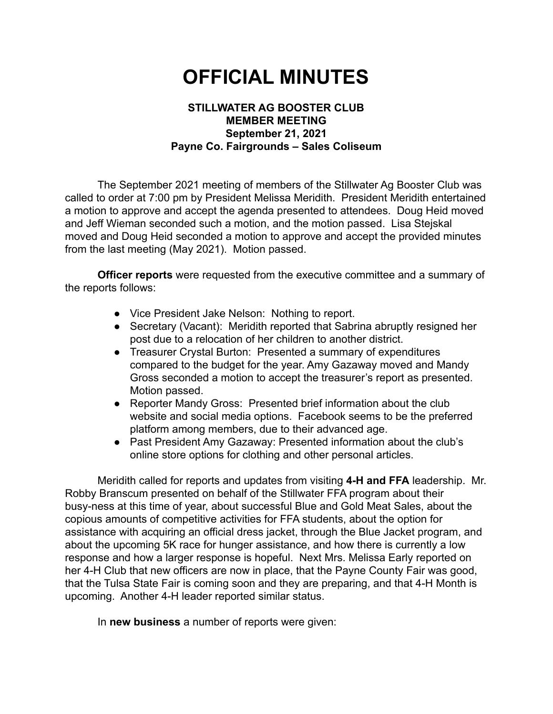## **OFFICIAL MINUTES**

## **STILLWATER AG BOOSTER CLUB MEMBER MEETING September 21, 2021 Payne Co. Fairgrounds – Sales Coliseum**

The September 2021 meeting of members of the Stillwater Ag Booster Club was called to order at 7:00 pm by President Melissa Meridith. President Meridith entertained a motion to approve and accept the agenda presented to attendees. Doug Heid moved and Jeff Wieman seconded such a motion, and the motion passed. Lisa Stejskal moved and Doug Heid seconded a motion to approve and accept the provided minutes from the last meeting (May 2021). Motion passed.

**Officer reports** were requested from the executive committee and a summary of the reports follows:

- Vice President Jake Nelson: Nothing to report.
- Secretary (Vacant): Meridith reported that Sabrina abruptly resigned her post due to a relocation of her children to another district.
- Treasurer Crystal Burton: Presented a summary of expenditures compared to the budget for the year. Amy Gazaway moved and Mandy Gross seconded a motion to accept the treasurer's report as presented. Motion passed.
- Reporter Mandy Gross: Presented brief information about the club website and social media options. Facebook seems to be the preferred platform among members, due to their advanced age.
- Past President Amy Gazaway: Presented information about the club's online store options for clothing and other personal articles.

Meridith called for reports and updates from visiting **4-H and FFA** leadership. Mr. Robby Branscum presented on behalf of the Stillwater FFA program about their busy-ness at this time of year, about successful Blue and Gold Meat Sales, about the copious amounts of competitive activities for FFA students, about the option for assistance with acquiring an official dress jacket, through the Blue Jacket program, and about the upcoming 5K race for hunger assistance, and how there is currently a low response and how a larger response is hopeful. Next Mrs. Melissa Early reported on her 4-H Club that new officers are now in place, that the Payne County Fair was good, that the Tulsa State Fair is coming soon and they are preparing, and that 4-H Month is upcoming. Another 4-H leader reported similar status.

In **new business** a number of reports were given: